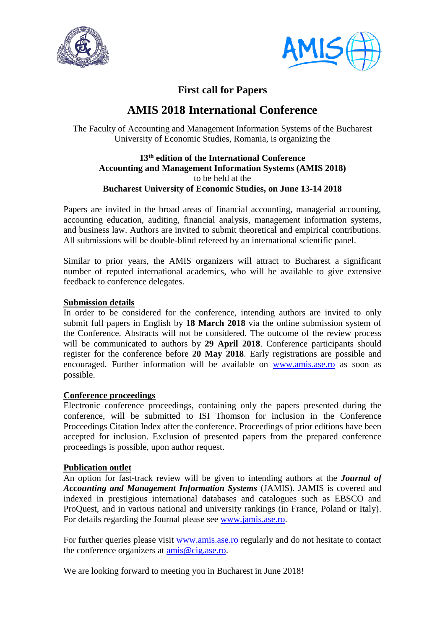



# **First call for Papers**

# **AMIS 2018 International Conference**

The Faculty of Accounting and Management Information Systems of the Bucharest University of Economic Studies, Romania, is organizing the

#### **13 th edition of the International Conference Accounting and Management Information Systems (AMIS 2018)** to be held at the **Bucharest University of Economic Studies, on June 13-14 2018**

Papers are invited in the broad areas of financial accounting, managerial accounting, accounting education, auditing, financial analysis, management information systems, and business law. Authors are invited to submit theoretical and empirical contributions. All submissions will be double-blind refereed by an international scientific panel.

Similar to prior years, the AMIS organizers will attract to Bucharest a significant number of reputed international academics, who will be available to give extensive feedback to conference delegates.

## **Submission details**

In order to be considered for the conference, intending authors are invited to only submit full papers in English by **18 March 2018** via the online submission system of the Conference. Abstracts will not be considered. The outcome of the review process will be communicated to authors by **29 April 2018**. Conference participants should register for the conference before **20 May 2018**. Early registrations are possible and encouraged. Further information will be available on [www.amis.ase.ro](http://www.amis.ase.ro/) as soon as possible.

## **Conference proceedings**

Electronic conference proceedings, containing only the papers presented during the conference, will be submitted to ISI Thomson for inclusion in the Conference Proceedings Citation Index after the conference. Proceedings of prior editions have been accepted for inclusion. Exclusion of presented papers from the prepared conference proceedings is possible, upon author request.

## **Publication outlet**

An option for fast-track review will be given to intending authors at the *Journal of Accounting and Management Information Systems* (JAMIS). JAMIS is covered and indexed in prestigious international databases and catalogues such as EBSCO and ProQuest, and in various national and university rankings (in France, Poland or Italy). For details regarding the Journal please see [www.jamis.ase.ro.](http://www.jamis.ase.ro/)

For further queries please visit [www.amis.ase.ro](http://www.amis.ase.ro/) regularly and do not hesitate to contact the conference organizers at [amis@cig.ase.ro.](mailto:amis@cig.ase.ro)

We are looking forward to meeting you in Bucharest in June 2018!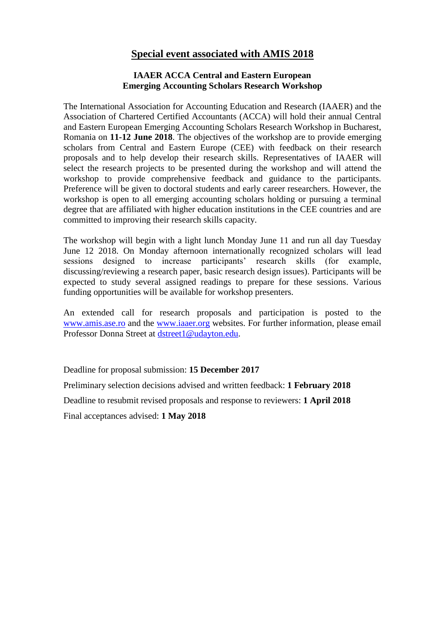## **Special event associated with AMIS 2018**

#### **IAAER ACCA Central and Eastern European Emerging Accounting Scholars Research Workshop**

The International Association for Accounting Education and Research (IAAER) and the Association of Chartered Certified Accountants (ACCA) will hold their annual Central and Eastern European Emerging Accounting Scholars Research Workshop in Bucharest, Romania on **11-12 June 2018**. The objectives of the workshop are to provide emerging scholars from Central and Eastern Europe (CEE) with feedback on their research proposals and to help develop their research skills. Representatives of IAAER will select the research projects to be presented during the workshop and will attend the workshop to provide comprehensive feedback and guidance to the participants. Preference will be given to doctoral students and early career researchers. However, the workshop is open to all emerging accounting scholars holding or pursuing a terminal degree that are affiliated with higher education institutions in the CEE countries and are committed to improving their research skills capacity.

The workshop will begin with a light lunch Monday June 11 and run all day Tuesday June 12 2018. On Monday afternoon internationally recognized scholars will lead sessions designed to increase participants' research skills (for example, discussing/reviewing a research paper, basic research design issues). Participants will be expected to study several assigned readings to prepare for these sessions. Various funding opportunities will be available for workshop presenters.

An extended call for research proposals and participation is posted to the [www.amis.ase.ro](http://www.amis.ase.ro/) and the [www.iaaer.org](http://www.iaaer.org/) websites. For further information, please email Professor Donna Street at [dstreet1@udayton.edu.](mailto:dstreet1@udayton.edu)

Deadline for proposal submission: **15 December 2017**

Preliminary selection decisions advised and written feedback: **1 February 2018**

Deadline to resubmit revised proposals and response to reviewers: **1 April 2018**

Final acceptances advised: **1 May 2018**